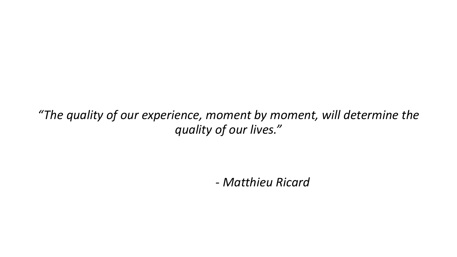*"The quality of our experience, moment by moment, will determine the quality of our lives."*

*- Matthieu Ricard*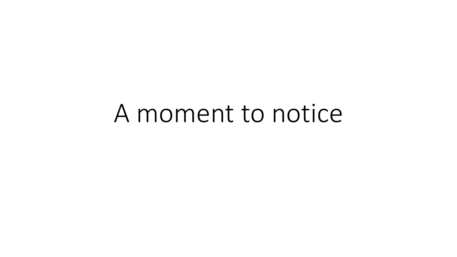# A moment to notice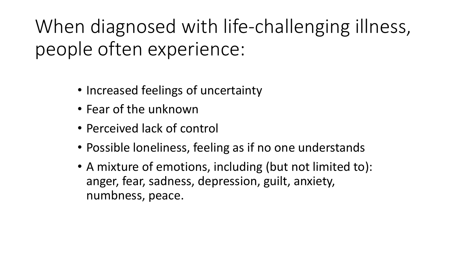When diagnosed with life-challenging illness, people often experience:

- Increased feelings of uncertainty
- Fear of the unknown
- Perceived lack of control
- Possible loneliness, feeling as if no one understands
- A mixture of emotions, including (but not limited to): anger, fear, sadness, depression, guilt, anxiety, numbness, peace.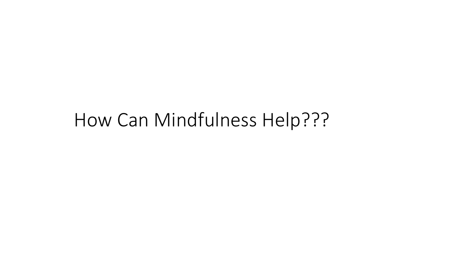#### How Can Mindfulness Help???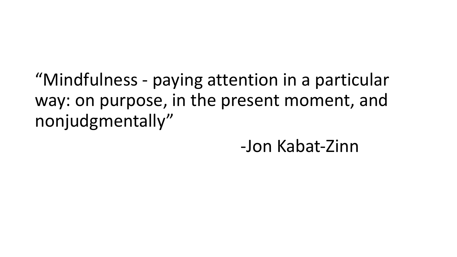"Mindfulness - paying attention in a particular way: on purpose, in the present moment, and nonjudgmentally"

-Jon Kabat-Zinn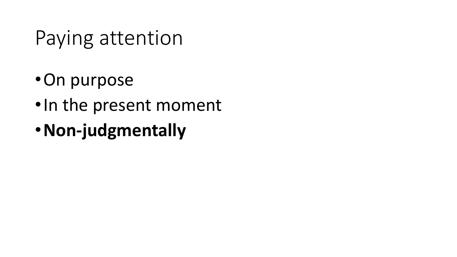# Paying attention

- On purpose
- In the present moment
- •**Non-judgmentally**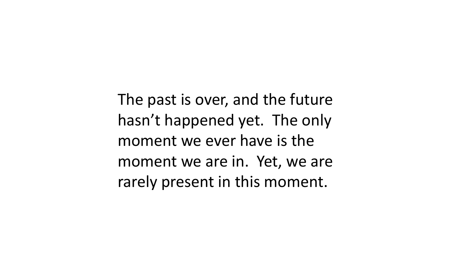The past is over, and the future hasn't happened yet. The only moment we ever have is the moment we are in. Yet, we are rarely present in this moment.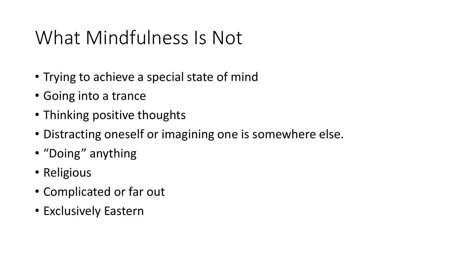### What Mindfulness Is Not

- Trying to achieve a special state of mind
- Going into a trance
- Thinking positive thoughts
- Distracting oneself or imagining one is somewhere else.
- "Doing" anything
- Religious
- Complicated or far out
- Exclusively Eastern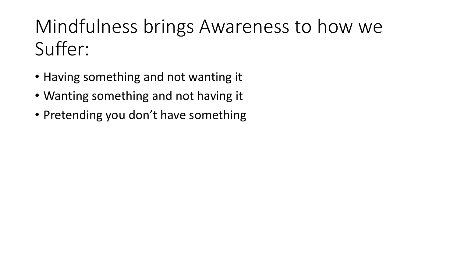### Mindfulness brings Awareness to how we Suffer:

- Having something and not wanting it
- Wanting something and not having it
- Pretending you don't have something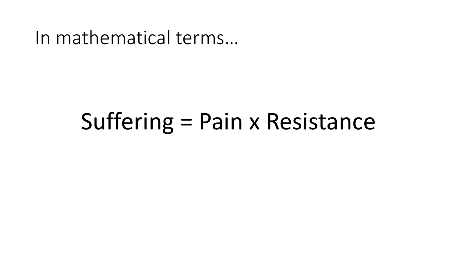In mathematical terms...

# Suffering = Pain x Resistance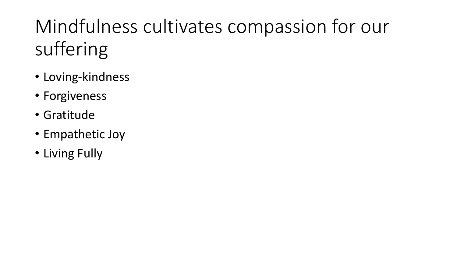# Mindfulness cultivates compassion for our suffering

- Loving-kindness
- Forgiveness
- Gratitude
- Empathetic Joy
- Living Fully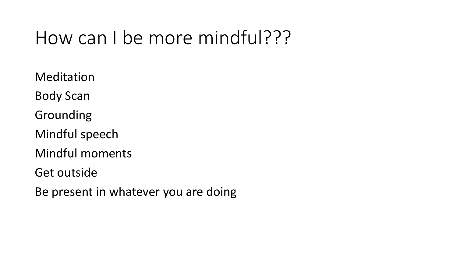#### How can I be more mindful???

Meditation Body Scan Grounding Mindful speech Mindful moments Get outside

Be present in whatever you are doing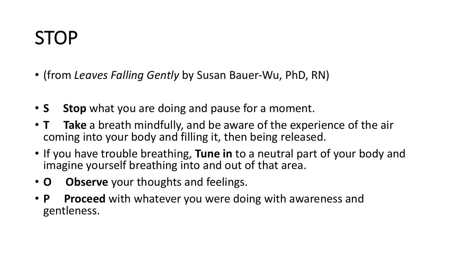#### STOP

- (from *Leaves Falling Gently* by Susan Bauer-Wu, PhD, RN)
- **S** Stop what you are doing and pause for a moment.
- **T** Take a breath mindfully, and be aware of the experience of the air coming into your body and filling it, then being released.
- If you have trouble breathing, Tune in to a neutral part of your body and imagine yourself breathing into and out of that area.
- **O Observe** your thoughts and feelings.
- **P** Proceed with whatever you were doing with awareness and gentleness.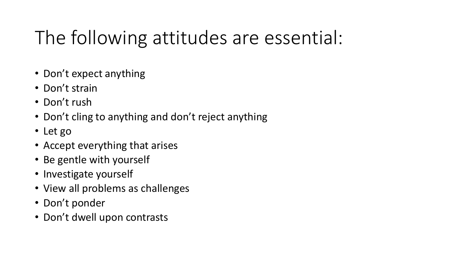## The following attitudes are essential:

- Don't expect anything
- Don't strain
- $\cdot$  Don't rush
- Don't cling to anything and don't reject anything
- Let go
- Accept everything that arises
- Be gentle with yourself
- Investigate yourself
- View all problems as challenges
- Don't ponder
- Don't dwell upon contrasts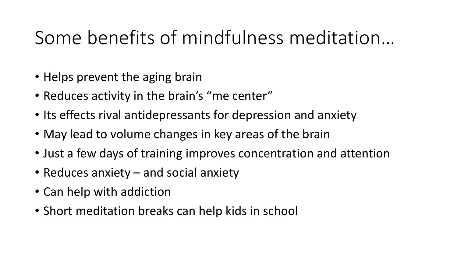### Some benefits of mindfulness meditation...

- Helps prevent the aging brain
- Reduces activity in the brain's "me center"
- Its effects rival antidepressants for depression and anxiety
- May lead to volume changes in key areas of the brain
- Just a few days of training improves concentration and attention
- Reduces anxiety  $-$  and social anxiety
- Can help with addiction
- Short meditation breaks can help kids in school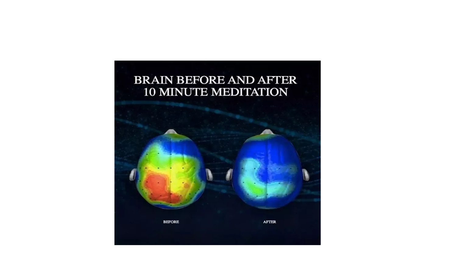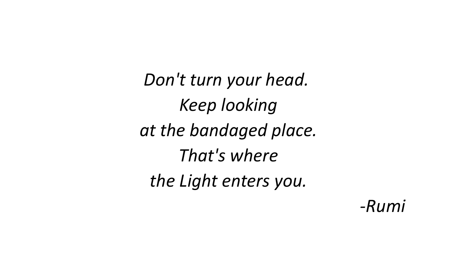Don't turn your head. *Keep looking at the bandaged place. That's where the Light enters you.*